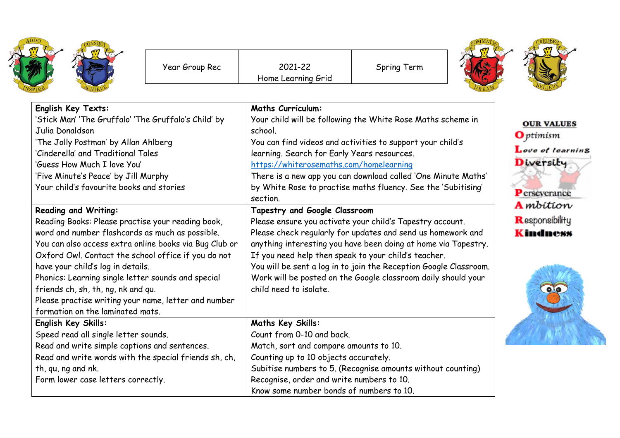| ADDO<br>VSPIRE | CONSQUT |
|----------------|---------|
|----------------|---------|

Spring Term



| English Key Texts:                                                      | <b>Maths Curriculum:</b>                                                  |                   |
|-------------------------------------------------------------------------|---------------------------------------------------------------------------|-------------------|
| 'Stick Man' 'The Gruffalo' 'The Gruffalo's Child' by<br>Julia Donaldson | Your child will be following the White Rose Maths scheme in<br>school.    | <b>OUR VALUES</b> |
| 'The Jolly Postman' by Allan Ahlberg                                    | You can find videos and activities to support your child's                | <b>O</b> ptimism  |
| 'Cinderella' and Traditional Tales                                      | learning. Search for Early Years resources.                               | Love of learning  |
| 'Guess How Much I love You'                                             | https://whiterosemaths.com/homelearning                                   | Diversity         |
| 'Five Minute's Peace' by Jill Murphy                                    | There is a new app you can download called 'One Minute Maths'             |                   |
| Your child's favourite books and stories                                | by White Rose to practise maths fluency. See the 'Subitising'<br>section. | Perseverance      |
| <b>Reading and Writing:</b>                                             | Tapestry and Google Classroom                                             | <b>A</b> mbition  |
| Reading Books: Please practise your reading book,                       | Please ensure you activate your child's Tapestry account.                 | Responsibility    |
| word and number flashcards as much as possible.                         | Please check regularly for updates and send us homework and               | <b>Kindness</b>   |
| You can also access extra online books via Bug Club or                  | anything interesting you have been doing at home via Tapestry.            |                   |
| Oxford Owl. Contact the school office if you do not                     | If you need help then speak to your child's teacher.                      |                   |
| have your child's log in details.                                       | You will be sent a log in to join the Reception Google Classroom.         |                   |
| Phonics: Learning single letter sounds and special                      | Work will be posted on the Google classroom daily should your             |                   |
| friends ch, sh, th, ng, nk and qu.                                      | child need to isolate.                                                    | $\bullet$         |
| Please practise writing your name, letter and number                    |                                                                           |                   |
| formation on the laminated mats.                                        |                                                                           |                   |
| English Key Skills:                                                     | Maths Key Skills:                                                         |                   |
| Speed read all single letter sounds.                                    | Count from 0-10 and back.                                                 |                   |
| Read and write simple captions and sentences.                           | Match, sort and compare amounts to 10.                                    |                   |
| Read and write words with the special friends sh, ch,                   | Counting up to 10 objects accurately.                                     |                   |
| th, qu, ng and nk.                                                      | Subitise numbers to 5. (Recognise amounts without counting)               |                   |
| Form lower case letters correctly.                                      | Recognise, order and write numbers to 10.                                 |                   |
|                                                                         | Know some number bonds of numbers to 10.                                  |                   |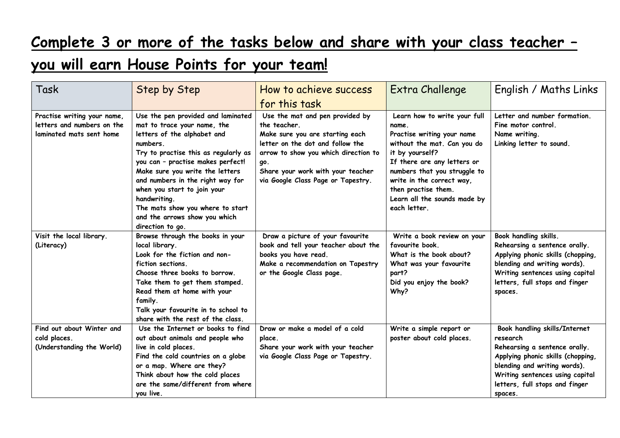## **Complete 3 or more of the tasks below and share with your class teacher –**

## **you will earn House Points for your team!**

| Task                                                                                  | <b>Step by Step</b>                                                                                                                                                                                                                                                                                                                                                                                      | How to achieve success                                                                                                                                                                                                                           | Extra Challenge                                                                                                                                                                                                                                                                          | English / Maths Links                                                                                                                                                                                                           |
|---------------------------------------------------------------------------------------|----------------------------------------------------------------------------------------------------------------------------------------------------------------------------------------------------------------------------------------------------------------------------------------------------------------------------------------------------------------------------------------------------------|--------------------------------------------------------------------------------------------------------------------------------------------------------------------------------------------------------------------------------------------------|------------------------------------------------------------------------------------------------------------------------------------------------------------------------------------------------------------------------------------------------------------------------------------------|---------------------------------------------------------------------------------------------------------------------------------------------------------------------------------------------------------------------------------|
|                                                                                       |                                                                                                                                                                                                                                                                                                                                                                                                          | for this task                                                                                                                                                                                                                                    |                                                                                                                                                                                                                                                                                          |                                                                                                                                                                                                                                 |
| Practise writing your name,<br>letters and numbers on the<br>laminated mats sent home | Use the pen provided and laminated<br>mat to trace your name, the<br>letters of the alphabet and<br>numbers.<br>Try to practise this as regularly as<br>you can - practise makes perfect!<br>Make sure you write the letters<br>and numbers in the right way for<br>when you start to join your<br>handwriting.<br>The mats show you where to start<br>and the arrows show you which<br>direction to go. | Use the mat and pen provided by<br>the teacher.<br>Make sure you are starting each<br>letter on the dot and follow the<br>arrow to show you which direction to<br>go.<br>Share your work with your teacher<br>via Google Class Page or Tapestry. | Learn how to write your full<br>name.<br>Practise writing your name<br>without the mat. Can you do<br>it by yourself?<br>If there are any letters or<br>numbers that you struggle to<br>write in the correct way,<br>then practise them.<br>Learn all the sounds made by<br>each letter. | Letter and number formation.<br>Fine motor control.<br>Name writing.<br>Linking letter to sound.                                                                                                                                |
| Visit the local library.<br>(Literacy)                                                | Browse through the books in your<br>local library.<br>Look for the fiction and non-<br>fiction sections.<br>Choose three books to borrow.<br>Take them to get them stamped.<br>Read them at home with your<br>family.<br>Talk your favourite in to school to<br>share with the rest of the class.                                                                                                        | Draw a picture of your favourite<br>book and tell your teacher about the<br>books you have read.<br>Make a recommendation on Tapestry<br>or the Google Class page.                                                                               | Write a book review on your<br>favourite book.<br>What is the book about?<br>What was your favourite<br>part?<br>Did you enjoy the book?<br>Why?                                                                                                                                         | Book handling skills.<br>Rehearsing a sentence orally.<br>Applying phonic skills (chopping,<br>blending and writing words).<br>Writing sentences using capital<br>letters, full stops and finger<br>spaces.                     |
| Find out about Winter and<br>cold places.<br>(Understanding the World)                | Use the Internet or books to find<br>out about animals and people who<br>live in cold places.<br>Find the cold countries on a globe<br>or a map. Where are they?<br>Think about how the cold places<br>are the same/different from where<br>you live.                                                                                                                                                    | Draw or make a model of a cold<br>place.<br>Share your work with your teacher<br>via Google Class Page or Tapestry.                                                                                                                              | Write a simple report or<br>poster about cold places.                                                                                                                                                                                                                                    | Book handling skills/Internet<br>research<br>Rehearsing a sentence orally.<br>Applying phonic skills (chopping,<br>blending and writing words).<br>Writing sentences using capital<br>letters, full stops and finger<br>spaces. |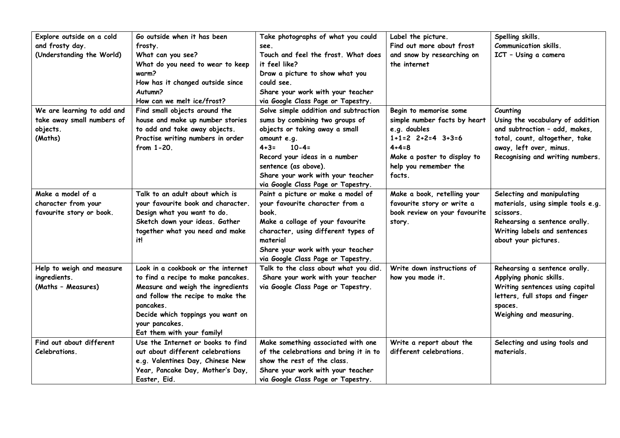| Explore outside on a cold<br>and frosty day.<br>(Understanding the World)       | Go outside when it has been<br>frosty.<br>What can you see?<br>What do you need to wear to keep<br>warm?<br>How has it changed outside since<br>Autumn?<br>How can we melt ice/frost?                                                                | Take photographs of what you could<br>see.<br>Touch and feel the frost. What does<br>it feel like?<br>Draw a picture to show what you<br>could see.<br>Share your work with your teacher<br>via Google Class Page or Tapestry.                                                           | Label the picture.<br>Find out more about frost<br>and snow by researching on<br>the internet                                                                                      | Spelling skills.<br><b>Communication skills.</b><br>ICT - Using a camera                                                                                                       |
|---------------------------------------------------------------------------------|------------------------------------------------------------------------------------------------------------------------------------------------------------------------------------------------------------------------------------------------------|------------------------------------------------------------------------------------------------------------------------------------------------------------------------------------------------------------------------------------------------------------------------------------------|------------------------------------------------------------------------------------------------------------------------------------------------------------------------------------|--------------------------------------------------------------------------------------------------------------------------------------------------------------------------------|
| We are learning to add and<br>take away small numbers of<br>objects.<br>(Maths) | Find small objects around the<br>house and make up number stories<br>to add and take away objects.<br>Practise writing numbers in order<br>from 1-20.                                                                                                | Solve simple addition and subtraction<br>sums by combining two groups of<br>objects or taking away a small<br>amount e.g.<br>$10 - 4 =$<br>$4 + 3 =$<br>Record your ideas in a number<br>sentence (as above).<br>Share your work with your teacher<br>via Google Class Page or Tapestry. | Begin to memorise some<br>simple number facts by heart<br>e.g. doubles<br>$1+1=2$ $2+2=4$ $3+3=6$<br>$4 + 4 = 8$<br>Make a poster to display to<br>help you remember the<br>facts. | Counting<br>Using the vocabulary of addition<br>and subtraction - add, makes,<br>total, count, altogether, take<br>away, left over, minus.<br>Recognising and writing numbers. |
| Make a model of a<br>character from your<br>favourite story or book.            | Talk to an adult about which is<br>your favourite book and character.<br>Design what you want to do.<br>Sketch down your ideas. Gather<br>together what you need and make<br>it!                                                                     | Paint a picture or make a model of<br>your favourite character from a<br>book.<br>Make a collage of your favourite<br>character, using different types of<br>material<br>Share your work with your teacher<br>via Google Class Page or Tapestry.                                         | Make a book, retelling your<br>favourite story or write a<br>book review on your favourite<br>story.                                                                               | Selecting and manipulating<br>materials, using simple tools e.g.<br>scissors.<br>Rehearsing a sentence orally.<br>Writing labels and sentences<br>about your pictures.         |
| Help to weigh and measure<br>ingredients.<br>(Maths - Measures)                 | Look in a cookbook or the internet<br>to find a recipe to make pancakes.<br>Measure and weigh the ingredients<br>and follow the recipe to make the<br>pancakes.<br>Decide which toppings you want on<br>your pancakes.<br>Eat them with your family! | Talk to the class about what you did.<br>Share your work with your teacher<br>via Google Class Page or Tapestry.                                                                                                                                                                         | Write down instructions of<br>how you made it.                                                                                                                                     | Rehearsing a sentence orally.<br>Applying phonic skills.<br>Writing sentences using capital<br>letters, full stops and finger<br>spaces.<br>Weighing and measuring.            |
| Find out about different<br>Celebrations.                                       | Use the Internet or books to find<br>out about different celebrations<br>e.g. Valentines Day, Chinese New<br>Year, Pancake Day, Mother's Day,<br>Easter, Eid.                                                                                        | Make something associated with one<br>of the celebrations and bring it in to<br>show the rest of the class.<br>Share your work with your teacher<br>via Google Class Page or Tapestry.                                                                                                   | Write a report about the<br>different celebrations.                                                                                                                                | Selecting and using tools and<br>materials.                                                                                                                                    |